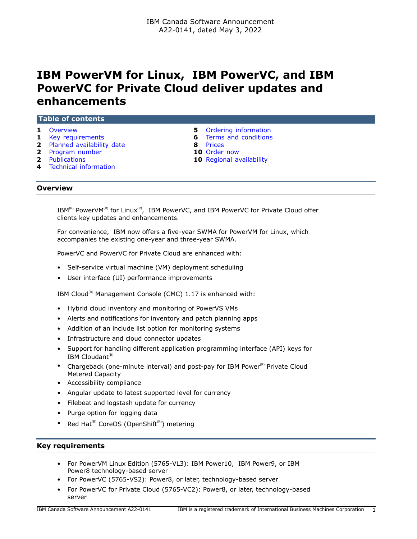# **IBM PowerVM for Linux, IBM PowerVC, and IBM PowerVC for Private Cloud deliver updates and enhancements**

| Table of contents           |   |                                 |  |
|-----------------------------|---|---------------------------------|--|
| <b>1</b> Overview           |   | 5 Ordering information          |  |
| 1 Key requirements          |   | <b>6</b> Terms and conditions   |  |
| 2 Planned availability date | 8 | Prices                          |  |
| 2 Program number            |   | 10 Order now                    |  |
| <b>2</b> Publications       |   | <b>10</b> Regional availability |  |
| 4 Technical information     |   |                                 |  |

#### <span id="page-0-0"></span>**Overview**

 $IBM^{(R)}$  PowerVM(R) for Linux(R), IBM PowerVC, and IBM PowerVC for Private Cloud offer clients key updates and enhancements.

For convenience, IBM now offers a five-year SWMA for PowerVM for Linux, which accompanies the existing one-year and three-year SWMA.

PowerVC and PowerVC for Private Cloud are enhanced with:

- Self-service virtual machine (VM) deployment scheduling
- User interface (UI) performance improvements

IBM Cloud<sup>(R)</sup> Management Console (CMC)  $1.17$  is enhanced with:

- Hybrid cloud inventory and monitoring of PowerVS VMs
- Alerts and notifications for inventory and patch planning apps
- Addition of an include list option for monitoring systems
- Infrastructure and cloud connector updates
- Support for handling different application programming interface (API) keys for IBM Cloudant $(R)$
- Chargeback (one-minute interval) and post-pay for IBM Power $(P)$  Private Cloud Metered Capacity
- Accessibility compliance
- Angular update to latest supported level for currency
- Filebeat and logstash update for currency
- Purge option for logging data
- Red Hat<sup> $(R)$ </sup> CoreOS (OpenShift $(R)$ ) metering

# <span id="page-0-1"></span>**Key requirements**

- For PowerVM Linux Edition (5765-VL3): IBM Power10, IBM Power9, or IBM Power8 technology-based server
- For PowerVC (5765-VS2): Power8, or later, technology-based server
- For PowerVC for Private Cloud (5765-VC2): Power8, or later, technology-based server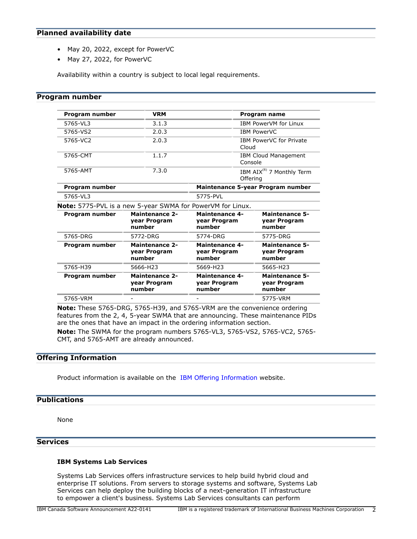## <span id="page-1-0"></span>**Planned availability date**

- May 20, 2022, except for PowerVC
- May 27, 2022, for PowerVC

Availability within a country is subject to local legal requirements.

## <span id="page-1-1"></span>**Program number**

| Program number | <b>VRM</b>                                                        |                                                 | Program name                                      |  |
|----------------|-------------------------------------------------------------------|-------------------------------------------------|---------------------------------------------------|--|
| 5765-VL3       | 3.1.3                                                             |                                                 | <b>IBM PowerVM for Linux</b>                      |  |
| 5765-VS2       | 2.0.3<br><b>IBM PowerVC</b>                                       |                                                 |                                                   |  |
| 5765-VC2       | 2.0.3                                                             |                                                 | <b>IBM PowerVC for Private</b><br>Cloud           |  |
| 5765-CMT       | 1.1.7                                                             |                                                 | <b>IBM Cloud Management</b><br>Console            |  |
| 5765-AMT       | 7.3.0                                                             |                                                 | IBM AIX <sup>(R)</sup> 7 Monthly Term<br>Offering |  |
| Program number |                                                                   |                                                 | Maintenance 5-year Program number                 |  |
| 5765-VL3       |                                                                   | 5775-PVL                                        |                                                   |  |
|                | <b>Note:</b> 5775-PVL is a new 5-year SWMA for PowerVM for Linux. |                                                 |                                                   |  |
| Program number | <b>Maintenance 2-</b><br>year Program<br>number                   | <b>Maintenance 4-</b><br>year Program<br>number | <b>Maintenance 5-</b><br>year Program<br>number   |  |
| 5765-DRG       | 5772-DRG                                                          | 5774-DRG                                        | 5775-DRG                                          |  |
| Program number | <b>Maintenance 2-</b><br>year Program<br>number                   | <b>Maintenance 4-</b><br>year Program<br>number | <b>Maintenance 5-</b><br>year Program<br>number   |  |
| 5765-H39       | 5666-H23                                                          | 5669-H23                                        | 5665-H23                                          |  |
| Program number | <b>Maintenance 2-</b><br>year Program<br>number                   | <b>Maintenance 4-</b><br>year Program<br>number | <b>Maintenance 5-</b><br>year Program<br>number   |  |
| 5765-VRM       |                                                                   |                                                 | 5775-VRM                                          |  |

**Note:** These 5765-DRG, 5765-H39, and 5765-VRM are the convenience ordering features from the 2, 4, 5-year SWMA that are announcing. These maintenance PIDs are the ones that have an impact in the ordering information section.

**Note:** The SWMA for the program numbers 5765-VL3, 5765-VS2, 5765-VC2, 5765- CMT, and 5765-AMT are already announced.

## **Offering Information**

Product information is available on the [IBM Offering Information](http://www.ibm.com/common/ssi) website.

## <span id="page-1-2"></span>**Publications**

None

# **Services**

## **IBM Systems Lab Services**

Systems Lab Services offers infrastructure services to help build hybrid cloud and enterprise IT solutions. From servers to storage systems and software, Systems Lab Services can help deploy the building blocks of a next-generation IT infrastructure to empower a client's business. Systems Lab Services consultants can perform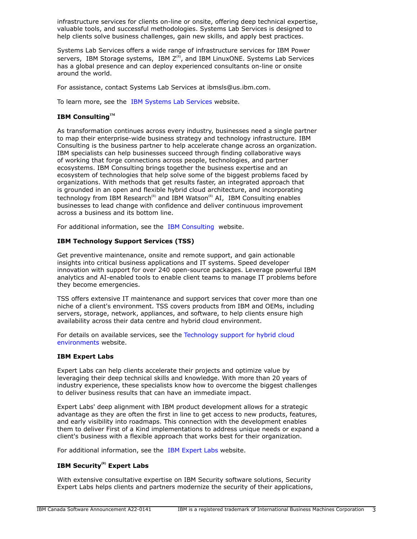infrastructure services for clients on-line or onsite, offering deep technical expertise, valuable tools, and successful methodologies. Systems Lab Services is designed to help clients solve business challenges, gain new skills, and apply best practices.

Systems Lab Services offers a wide range of infrastructure services for IBM Power servers, IBM Storage systems, IBM  $Z^{(R)}$ , and IBM LinuxONE. Systems Lab Services has a global presence and can deploy experienced consultants on-line or onsite around the world.

For assistance, contact Systems Lab Services at ibmsls@us.ibm.com.

To learn more, see the [IBM Systems Lab Services](https://www.ibm.com/it-infrastructure/services/lab-services) website.

## **IBM ConsultingTM**

As transformation continues across every industry, businesses need a single partner to map their enterprise-wide business strategy and technology infrastructure. IBM Consulting is the business partner to help accelerate change across an organization. IBM specialists can help businesses succeed through finding collaborative ways of working that forge connections across people, technologies, and partner ecosystems. IBM Consulting brings together the business expertise and an ecosystem of technologies that help solve some of the biggest problems faced by organizations. With methods that get results faster, an integrated approach that is grounded in an open and flexible hybrid cloud architecture, and incorporating technology from IBM Research<sup>(R)</sup> and IBM Watson<sup>(R)</sup> AI, IBM Consulting enables businesses to lead change with confidence and deliver continuous improvement across a business and its bottom line.

For additional information, see the [IBM Consulting](https://www.ibm.com/consulting) website.

## **IBM Technology Support Services (TSS)**

Get preventive maintenance, onsite and remote support, and gain actionable insights into critical business applications and IT systems. Speed developer innovation with support for over 240 open-source packages. Leverage powerful IBM analytics and AI-enabled tools to enable client teams to manage IT problems before they become emergencies.

TSS offers extensive IT maintenance and support services that cover more than one niche of a client's environment. TSS covers products from IBM and OEMs, including servers, storage, network, appliances, and software, to help clients ensure high availability across their data centre and hybrid cloud environment.

For details on available services, see the [Technology support for hybrid cloud](https://www.ibm.com/services/technology-support) [environments](https://www.ibm.com/services/technology-support) website.

## **IBM Expert Labs**

Expert Labs can help clients accelerate their projects and optimize value by leveraging their deep technical skills and knowledge. With more than 20 years of industry experience, these specialists know how to overcome the biggest challenges to deliver business results that can have an immediate impact.

Expert Labs' deep alignment with IBM product development allows for a strategic advantage as they are often the first in line to get access to new products, features, and early visibility into roadmaps. This connection with the development enables them to deliver First of a Kind implementations to address unique needs or expand a client's business with a flexible approach that works best for their organization.

For additional information, see the [IBM Expert Labs](https://www.ibm.com/products/expertlabs) website.

# **IBM Security(R) Expert Labs**

With extensive consultative expertise on IBM Security software solutions, Security Expert Labs helps clients and partners modernize the security of their applications,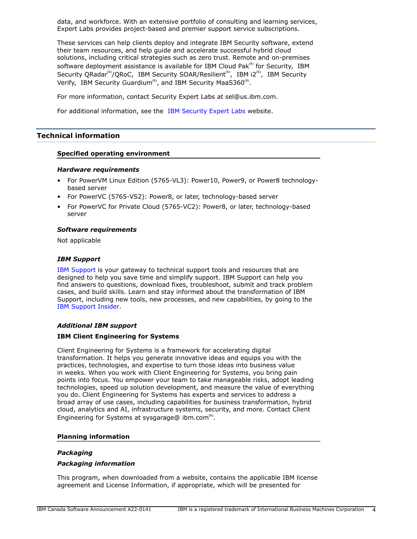data, and workforce. With an extensive portfolio of consulting and learning services, Expert Labs provides project-based and premier support service subscriptions.

These services can help clients deploy and integrate IBM Security software, extend their team resources, and help guide and accelerate successful hybrid cloud solutions, including critical strategies such as zero trust. Remote and on-premises software deployment assistance is available for IBM Cloud Pak $R<sup>(R)</sup>$  for Security, IBM Security QRadar<sup>(R)</sup>/QRoC, IBM Security SOAR/Resilient<sup>(R)</sup>, IBM i2<sup>(R)</sup>, IBM Security Verify, IBM Security Guardium<sup>(R)</sup>, and IBM Security MaaS360<sup>(R)</sup>.

For more information, contact Security Expert Labs at sel@us.ibm.com.

For additional information, see the [IBM Security Expert Labs](https://www.ibm.com/security/security-expert-labs) website.

## <span id="page-3-0"></span>**Technical information**

## **Specified operating environment**

#### *Hardware requirements*

- For PowerVM Linux Edition (5765-VL3): Power10, Power9, or Power8 technologybased server
- For PowerVC (5765-VS2): Power8, or later, technology-based server
- For PowerVC for Private Cloud (5765-VC2): Power8, or later, technology-based server

## *Software requirements*

Not applicable

## *IBM Support*

[IBM Support](https://www.ibm.com/support) is your gateway to technical support tools and resources that are designed to help you save time and simplify support. IBM Support can help you find answers to questions, download fixes, troubleshoot, submit and track problem cases, and build skills. Learn and stay informed about the transformation of IBM Support, including new tools, new processes, and new capabilities, by going to the [IBM Support Insider](https://www.ibm.com/support/insider).

## *Additional IBM support*

## **IBM Client Engineering for Systems**

Client Engineering for Systems is a framework for accelerating digital transformation. It helps you generate innovative ideas and equips you with the practices, technologies, and expertise to turn those ideas into business value in weeks. When you work with Client Engineering for Systems, you bring pain points into focus. You empower your team to take manageable risks, adopt leading technologies, speed up solution development, and measure the value of everything you do. Client Engineering for Systems has experts and services to address a broad array of use cases, including capabilities for business transformation, hybrid cloud, analytics and AI, infrastructure systems, security, and more. Contact Client Engineering for Systems at sysgarage@ ibm.com ${}^{\text{\tiny(R)}}$ .

## **Planning information**

## *Packaging*

## *Packaging information*

This program, when downloaded from a website, contains the applicable IBM license agreement and License Information, if appropriate, which will be presented for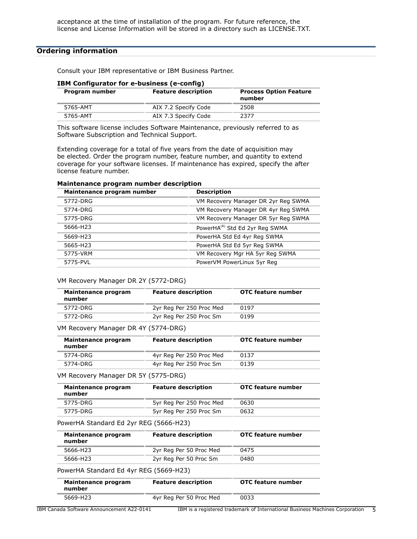## <span id="page-4-0"></span>**Ordering information**

Consult your IBM representative or IBM Business Partner.

| <b>IBM Configurator for e-business (e-config)</b> |                      |                                         |  |  |
|---------------------------------------------------|----------------------|-----------------------------------------|--|--|
| <b>Feature description</b><br>Program number      |                      | <b>Process Option Feature</b><br>number |  |  |
| 5765-AMT                                          | AIX 7.2 Specify Code | 2508                                    |  |  |
| 5765-AMT                                          | AIX 7.3 Specify Code | 2377                                    |  |  |

# **IBM Configurator for e-business (e-config)**

This software license includes Software Maintenance, previously referred to as Software Subscription and Technical Support.

Extending coverage for a total of five years from the date of acquisition may be elected. Order the program number, feature number, and quantity to extend coverage for your software licenses. If maintenance has expired, specify the after license feature number.

| Maintenance program number | <b>Description</b>                         |
|----------------------------|--------------------------------------------|
| 5772-DRG                   | VM Recovery Manager DR 2yr Reg SWMA        |
| 5774-DRG                   | VM Recovery Manager DR 4yr Reg SWMA        |
| 5775-DRG                   | VM Recovery Manager DR 5yr Reg SWMA        |
| 5666-H23                   | PowerHA <sup>(R)</sup> Std Ed 2yr Reg SWMA |
| 5669-H23                   | PowerHA Std Ed 4yr Reg SWMA                |
| 5665-H23                   | PowerHA Std Ed 5yr Reg SWMA                |
| 5775-VRM                   | VM Recovery Mgr HA 5yr Reg SWMA            |
| 5775-PVL                   | PowerVM PowerLinux 5yr Reg                 |

#### **Maintenance program number description**

#### VM Recovery Manager DR 2Y (5772-DRG)

| Maintenance program<br>number | <b>Feature description</b> | OTC feature number |
|-------------------------------|----------------------------|--------------------|
| 5772-DRG                      | 2yr Reg Per 250 Proc Med   | 0197               |
| 5772-DRG                      | 2yr Reg Per 250 Proc Sm    | 0199               |

#### VM Recovery Manager DR 4Y (5774-DRG)

| Maintenance program<br>number | <b>Feature description</b> | OTC feature number |
|-------------------------------|----------------------------|--------------------|
| 5774-DRG                      | 4yr Reg Per 250 Proc Med   | 0137               |
| 5774-DRG                      | 4yr Reg Per 250 Proc Sm    | 0139               |

VM Recovery Manager DR 5Y (5775-DRG)

| Maintenance program<br>number | <b>Feature description</b> | OTC feature number |
|-------------------------------|----------------------------|--------------------|
| 5775-DRG                      | 5yr Reg Per 250 Proc Med   | 0630               |
| 5775-DRG                      | 5yr Reg Per 250 Proc Sm    | 0632               |

#### PowerHA Standard Ed 2yr REG (5666-H23)

| Maintenance program<br>number | <b>Feature description</b> | OTC feature number |
|-------------------------------|----------------------------|--------------------|
| 5666-H23                      | 2yr Reg Per 50 Proc Med    | 0475               |
| 5666-H23                      | 2yr Reg Per 50 Proc Sm     | 0480               |

PowerHA Standard Ed 4yr REG (5669-H23)

| Maintenance program<br>number | <b>Feature description</b> | OTC feature number |
|-------------------------------|----------------------------|--------------------|
| 5669-H23                      | 4yr Reg Per 50 Proc Med    | 0033               |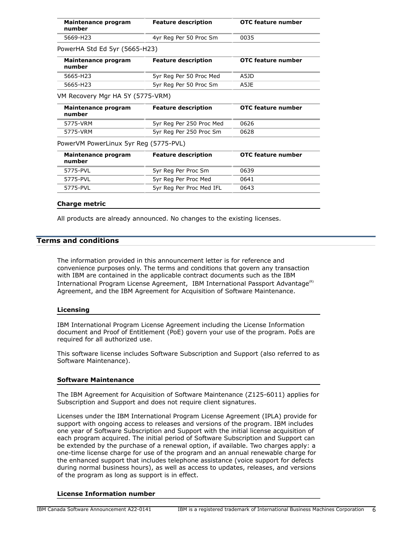| Maintenance program<br>number         | <b>Feature description</b> | OTC feature number |
|---------------------------------------|----------------------------|--------------------|
| 5669-H23                              | 4yr Reg Per 50 Proc Sm     | 0035               |
| PowerHA Std Ed 5yr (5665-H23)         |                            |                    |
| Maintenance program<br>number         | <b>Feature description</b> | OTC feature number |
| 5665-H23                              | 5yr Reg Per 50 Proc Med    | A5JD               |
| 5665-H23                              | 5yr Reg Per 50 Proc Sm     | A5JE               |
| VM Recovery Mgr HA 5Y (5775-VRM)      |                            |                    |
| Maintenance program<br>number         | <b>Feature description</b> | OTC feature number |
| 5775-VRM                              | 5yr Reg Per 250 Proc Med   | 0626               |
| 5775-VRM                              | 5yr Reg Per 250 Proc Sm    | 0628               |
| PowerVM PowerLinux 5yr Reg (5775-PVL) |                            |                    |
| Maintenance program<br>number         | <b>Feature description</b> | OTC feature number |
| 5775-PVL                              | 5yr Reg Per Proc Sm        | 0639               |
| 5775-PVL                              | 5yr Reg Per Proc Med       | 0641               |
| 5775-PVL                              | 5yr Reg Per Proc Med IFL   | 0643               |

#### **Charge metric**

All products are already announced. No changes to the existing licenses.

## <span id="page-5-0"></span>**Terms and conditions**

The information provided in this announcement letter is for reference and convenience purposes only. The terms and conditions that govern any transaction with IBM are contained in the applicable contract documents such as the IBM International Program License Agreement, IBM International Passport Advantage $(R)$ Agreement, and the IBM Agreement for Acquisition of Software Maintenance.

#### **Licensing**

IBM International Program License Agreement including the License Information document and Proof of Entitlement (PoE) govern your use of the program. PoEs are required for all authorized use.

This software license includes Software Subscription and Support (also referred to as Software Maintenance).

#### **Software Maintenance**

The IBM Agreement for Acquisition of Software Maintenance (Z125-6011) applies for Subscription and Support and does not require client signatures.

Licenses under the IBM International Program License Agreement (IPLA) provide for support with ongoing access to releases and versions of the program. IBM includes one year of Software Subscription and Support with the initial license acquisition of each program acquired. The initial period of Software Subscription and Support can be extended by the purchase of a renewal option, if available. Two charges apply: a one-time license charge for use of the program and an annual renewable charge for the enhanced support that includes telephone assistance (voice support for defects during normal business hours), as well as access to updates, releases, and versions of the program as long as support is in effect.

#### **License Information number**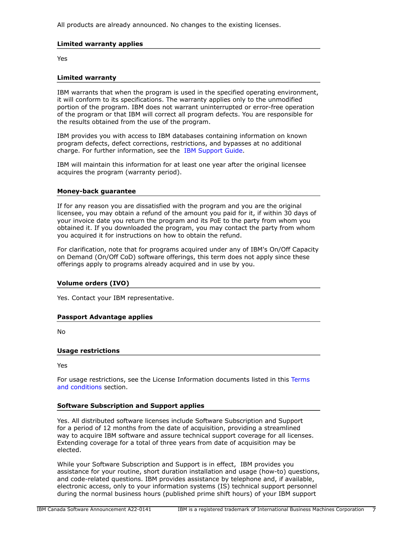All products are already announced. No changes to the existing licenses.

# **Limited warranty applies**

Yes

## **Limited warranty**

IBM warrants that when the program is used in the specified operating environment, it will conform to its specifications. The warranty applies only to the unmodified portion of the program. IBM does not warrant uninterrupted or error-free operation of the program or that IBM will correct all program defects. You are responsible for the results obtained from the use of the program.

IBM provides you with access to IBM databases containing information on known program defects, defect corrections, restrictions, and bypasses at no additional charge. For further information, see the [IBM Support Guide](http://www.ibm.com/support/customercare/sas/f/handbook/home.html).

IBM will maintain this information for at least one year after the original licensee acquires the program (warranty period).

## **Money-back guarantee**

If for any reason you are dissatisfied with the program and you are the original licensee, you may obtain a refund of the amount you paid for it, if within 30 days of your invoice date you return the program and its PoE to the party from whom you obtained it. If you downloaded the program, you may contact the party from whom you acquired it for instructions on how to obtain the refund.

For clarification, note that for programs acquired under any of IBM's On/Off Capacity on Demand (On/Off CoD) software offerings, this term does not apply since these offerings apply to programs already acquired and in use by you.

## **Volume orders (IVO)**

Yes. Contact your IBM representative.

## **Passport Advantage applies**

No

#### **Usage restrictions**

Yes

For usage restrictions, see the License Information documents listed in this [Terms](#page-5-0) [and conditions](#page-5-0) section.

## **Software Subscription and Support applies**

Yes. All distributed software licenses include Software Subscription and Support for a period of 12 months from the date of acquisition, providing a streamlined way to acquire IBM software and assure technical support coverage for all licenses. Extending coverage for a total of three years from date of acquisition may be elected.

While your Software Subscription and Support is in effect, IBM provides you assistance for your routine, short duration installation and usage (how-to) questions, and code-related questions. IBM provides assistance by telephone and, if available, electronic access, only to your information systems (IS) technical support personnel during the normal business hours (published prime shift hours) of your IBM support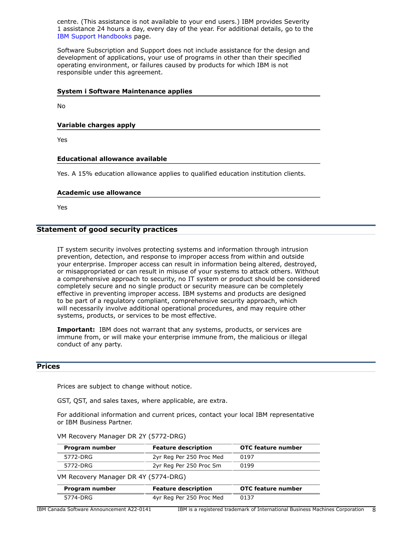centre. (This assistance is not available to your end users.) IBM provides Severity 1 assistance 24 hours a day, every day of the year. For additional details, go to the [IBM Support Handbooks](http://www.ibm.com/support/handbook) page.

Software Subscription and Support does not include assistance for the design and development of applications, your use of programs in other than their specified operating environment, or failures caused by products for which IBM is not responsible under this agreement.

#### **System i Software Maintenance applies**

No

#### **Variable charges apply**

Yes

#### **Educational allowance available**

Yes. A 15% education allowance applies to qualified education institution clients.

#### **Academic use allowance**

Yes

## **Statement of good security practices**

IT system security involves protecting systems and information through intrusion prevention, detection, and response to improper access from within and outside your enterprise. Improper access can result in information being altered, destroyed, or misappropriated or can result in misuse of your systems to attack others. Without a comprehensive approach to security, no IT system or product should be considered completely secure and no single product or security measure can be completely effective in preventing improper access. IBM systems and products are designed to be part of a regulatory compliant, comprehensive security approach, which will necessarily involve additional operational procedures, and may require other systems, products, or services to be most effective.

**Important:** IBM does not warrant that any systems, products, or services are immune from, or will make your enterprise immune from, the malicious or illegal conduct of any party.

# <span id="page-7-0"></span>**Prices**

Prices are subject to change without notice.

GST, QST, and sales taxes, where applicable, are extra.

For additional information and current prices, contact your local IBM representative or IBM Business Partner.

VM Recovery Manager DR 2Y (5772-DRG)

| Program number | <b>Feature description</b> | <b>OTC feature number</b> |
|----------------|----------------------------|---------------------------|
| 5772-DRG       | 2yr Reg Per 250 Proc Med   | 0197                      |
| 5772-DRG       | 2yr Reg Per 250 Proc Sm    | 0199                      |
|                |                            |                           |

VM Recovery Manager DR 4Y (5774-DRG)

| Program number | <b>Feature description</b> | OTC feature number |
|----------------|----------------------------|--------------------|
| 5774-DRG       | 4yr Reg Per 250 Proc Med   | 0137               |

IBM Canada Software Announcement A22-0141 IBM is a registered trademark of International Business Machines Corporation 8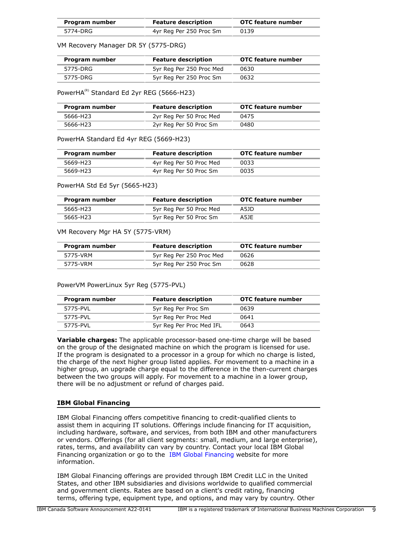| Program number | <b>Feature description</b> | OTC feature number |
|----------------|----------------------------|--------------------|
| 5774-DRG       | 4yr Reg Per 250 Proc Sm    | 0139               |

VM Recovery Manager DR 5Y (5775-DRG)

| Program number | <b>Feature description</b> | <b>OTC</b> feature number |
|----------------|----------------------------|---------------------------|
| 5775-DRG       | 5yr Reg Per 250 Proc Med   | 0630                      |
| 5775-DRG       | 5yr Reg Per 250 Proc Sm    | 0632                      |

PowerHA<sup>(R)</sup> Standard Ed 2yr REG (5666-H23)

| Program number | <b>Feature description</b> | OTC feature number |
|----------------|----------------------------|--------------------|
| 5666-H23       | 2yr Reg Per 50 Proc Med    | 0475               |
| 5666-H23       | 2yr Reg Per 50 Proc Sm     | 0480               |

PowerHA Standard Ed 4yr REG (5669-H23)

| Program number | <b>Feature description</b> | OTC feature number |
|----------------|----------------------------|--------------------|
| 5669-H23       | 4yr Reg Per 50 Proc Med    | 0033               |
| 5669-H23       | 4yr Reg Per 50 Proc Sm     | 0035               |

PowerHA Std Ed 5yr (5665-H23)

| Program number | <b>Feature description</b> | OTC feature number |
|----------------|----------------------------|--------------------|
| 5665-H23       | 5yr Reg Per 50 Proc Med    | A5JD               |
| 5665-H23       | 5yr Reg Per 50 Proc Sm     | A5JE               |

VM Recovery Mgr HA 5Y (5775-VRM)

| Program number | <b>Feature description</b> | <b>OTC</b> feature number |
|----------------|----------------------------|---------------------------|
| 5775-VRM       | 5yr Reg Per 250 Proc Med   | 0626                      |
| 5775-VRM       | 5yr Reg Per 250 Proc Sm    | 0628                      |

PowerVM PowerLinux 5yr Reg (5775-PVL)

| Program number | <b>Feature description</b> | OTC feature number |
|----------------|----------------------------|--------------------|
| 5775-PVI       | 5yr Reg Per Proc Sm        | 0639               |
| 5775-PVI       | 5yr Reg Per Proc Med       | 0641               |
| 5775-PVI       | 5yr Reg Per Proc Med IFL   | 0643               |

**Variable charges:** The applicable processor-based one-time charge will be based on the group of the designated machine on which the program is licensed for use. If the program is designated to a processor in a group for which no charge is listed, the charge of the next higher group listed applies. For movement to a machine in a higher group, an upgrade charge equal to the difference in the then-current charges between the two groups will apply. For movement to a machine in a lower group, there will be no adjustment or refund of charges paid.

## **IBM Global Financing**

IBM Global Financing offers competitive financing to credit-qualified clients to assist them in acquiring IT solutions. Offerings include financing for IT acquisition, including hardware, software, and services, from both IBM and other manufacturers or vendors. Offerings (for all client segments: small, medium, and large enterprise), rates, terms, and availability can vary by country. Contact your local IBM Global Financing organization or go to the [IBM Global Financing](http://www.ibm.com/financing) website for more information.

IBM Global Financing offerings are provided through IBM Credit LLC in the United States, and other IBM subsidiaries and divisions worldwide to qualified commercial and government clients. Rates are based on a client's credit rating, financing terms, offering type, equipment type, and options, and may vary by country. Other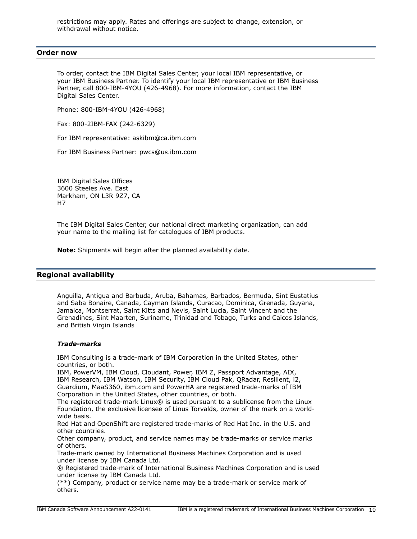restrictions may apply. Rates and offerings are subject to change, extension, or withdrawal without notice.

#### <span id="page-9-0"></span>**Order now**

To order, contact the IBM Digital Sales Center, your local IBM representative, or your IBM Business Partner. To identify your local IBM representative or IBM Business Partner, call 800-IBM-4YOU (426-4968). For more information, contact the IBM Digital Sales Center.

Phone: 800-IBM-4YOU (426-4968)

Fax: 800-2IBM-FAX (242-6329)

For IBM representative: askibm@ca.ibm.com

For IBM Business Partner: pwcs@us.ibm.com

IBM Digital Sales Offices 3600 Steeles Ave. East Markham, ON L3R 9Z7, CA H7

The IBM Digital Sales Center, our national direct marketing organization, can add your name to the mailing list for catalogues of IBM products.

**Note:** Shipments will begin after the planned availability date.

#### <span id="page-9-1"></span>**Regional availability**

Anguilla, Antigua and Barbuda, Aruba, Bahamas, Barbados, Bermuda, Sint Eustatius and Saba Bonaire, Canada, Cayman Islands, Curacao, Dominica, Grenada, Guyana, Jamaica, Montserrat, Saint Kitts and Nevis, Saint Lucia, Saint Vincent and the Grenadines, Sint Maarten, Suriname, Trinidad and Tobago, Turks and Caicos Islands, and British Virgin Islands

#### *Trade-marks*

IBM Consulting is a trade-mark of IBM Corporation in the United States, other countries, or both.

IBM, PowerVM, IBM Cloud, Cloudant, Power, IBM Z, Passport Advantage, AIX, IBM Research, IBM Watson, IBM Security, IBM Cloud Pak, QRadar, Resilient, i2, Guardium, MaaS360, ibm.com and PowerHA are registered trade-marks of IBM Corporation in the United States, other countries, or both.

The registered trade-mark Linux® is used pursuant to a sublicense from the Linux Foundation, the exclusive licensee of Linus Torvalds, owner of the mark on a worldwide basis.

Red Hat and OpenShift are registered trade-marks of Red Hat Inc. in the U.S. and other countries.

Other company, product, and service names may be trade-marks or service marks of others.

Trade-mark owned by International Business Machines Corporation and is used under license by IBM Canada Ltd.

® Registered trade-mark of International Business Machines Corporation and is used under license by IBM Canada Ltd.

(\*\*) Company, product or service name may be a trade-mark or service mark of others.